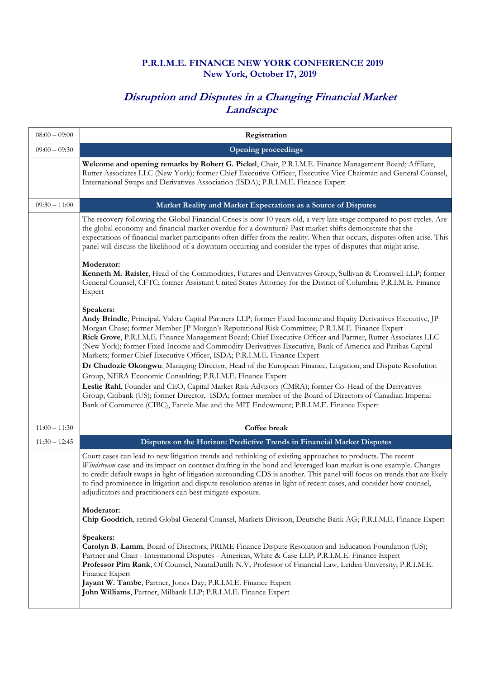## **P.R.I.M.E. FINANCE NEW YORK CONFERENCE 2019 New York, October 17, 2019**

## **Disruption and Disputes in a Changing Financial Market Landscape**

| $08:00 - 09:00$ | Registration                                                                                                                                                                                                                                                                                                                                                                                                                                                                                                                                       |
|-----------------|----------------------------------------------------------------------------------------------------------------------------------------------------------------------------------------------------------------------------------------------------------------------------------------------------------------------------------------------------------------------------------------------------------------------------------------------------------------------------------------------------------------------------------------------------|
| $09:00 - 09:30$ | <b>Opening proceedings</b>                                                                                                                                                                                                                                                                                                                                                                                                                                                                                                                         |
|                 | Welcome and opening remarks by Robert G. Pickel, Chair, P.R.I.M.E. Finance Management Board; Affiliate,<br>Rutter Associates LLC (New York); former Chief Executive Officer, Executive Vice Chairman and General Counsel,<br>International Swaps and Derivatives Association (ISDA); P.R.I.M.E. Finance Expert                                                                                                                                                                                                                                     |
| $09:30 - 11:00$ | Market Reality and Market Expectations as a Source of Disputes                                                                                                                                                                                                                                                                                                                                                                                                                                                                                     |
|                 | The recovery following the Global Financial Crises is now 10 years old, a very late stage compared to past cycles. Are<br>the global economy and financial market overdue for a downturn? Past market shifts demonstrate that the<br>expectations of financial market participants often differ from the reality. When that occurs, disputes often arise. This<br>panel will discuss the likelihood of a downturn occurring and consider the types of disputes that might arise.                                                                   |
|                 | Moderator:<br>Kenneth M. Raisler, Head of the Commodities, Futures and Derivatives Group, Sullivan & Cromwell LLP; former<br>General Counsel, CFTC; former Assistant United States Attorney for the District of Columbia; P.R.I.M.E. Finance<br>Expert                                                                                                                                                                                                                                                                                             |
|                 | Speakers:<br>Andy Brindle, Principal, Valere Capital Partners LLP; former Fixed Income and Equity Derivatives Executive, JP<br>Morgan Chase; former Member JP Morgan's Reputational Risk Committee; P.R.I.M.E. Finance Expert<br>Rick Grove, P.R.I.M.E. Finance Management Board; Chief Executive Officer and Partner, Rutter Associates LLC<br>(New York); former Fixed Income and Commodity Derivatives Executive, Bank of America and Paribas Capital<br>Markets; former Chief Executive Officer, ISDA; P.R.I.M.E. Finance Expert               |
|                 | Dr Chudozie Okongwu, Managing Director, Head of the European Finance, Litigation, and Dispute Resolution                                                                                                                                                                                                                                                                                                                                                                                                                                           |
|                 | Group, NERA Economic Consulting; P.R.I.M.E. Finance Expert<br>Leslie Rahl, Founder and CEO, Capital Market Risk Advisors (CMRA); former Co-Head of the Derivatives<br>Group, Citibank (US); former Director, ISDA; former member of the Board of Directors of Canadian Imperial<br>Bank of Commerce (CIBC), Fannie Mae and the MIT Endowment; P.R.I.M.E. Finance Expert                                                                                                                                                                            |
| $11:00 - 11:30$ | Coffee break                                                                                                                                                                                                                                                                                                                                                                                                                                                                                                                                       |
| $11:30 - 12:45$ | Disputes on the Horizon: Predictive Trends in Financial Market Disputes                                                                                                                                                                                                                                                                                                                                                                                                                                                                            |
|                 | Court cases can lead to new litigation trends and rethinking of existing approaches to products. The recent<br>Windstream case and its impact on contract drafting in the bond and leveraged loan market is one example. Changes<br>to credit default swaps in light of litigation surrounding CDS is another. This panel will focus on trends that are likely<br>to find prominence in litigation and dispute resolution arenas in light of recent cases, and consider how counsel,<br>adjudicators and practitioners can best mitigate exposure. |
|                 | Moderator:<br>Chip Goodrich, retired Global General Counsel, Markets Division, Deutsche Bank AG; P.R.I.M.E. Finance Expert                                                                                                                                                                                                                                                                                                                                                                                                                         |
|                 | Speakers:<br>Carolyn B. Lamm, Board of Directors, PRIME Finance Dispute Resolution and Education Foundation (US);<br>Partner and Chair - International Disputes - Americas, White & Case LLP; P.R.I.M.E. Finance Expert<br>Professor Pim Rank, Of Counsel, NautaDutilh N.V; Professor of Financial Law, Leiden University; P.R.I.M.E.<br>Finance Expert<br>Jayant W. Tambe, Partner, Jones Day; P.R.I.M.E. Finance Expert<br>John Williams, Partner, Milbank LLP; P.R.I.M.E. Finance Expert                                                        |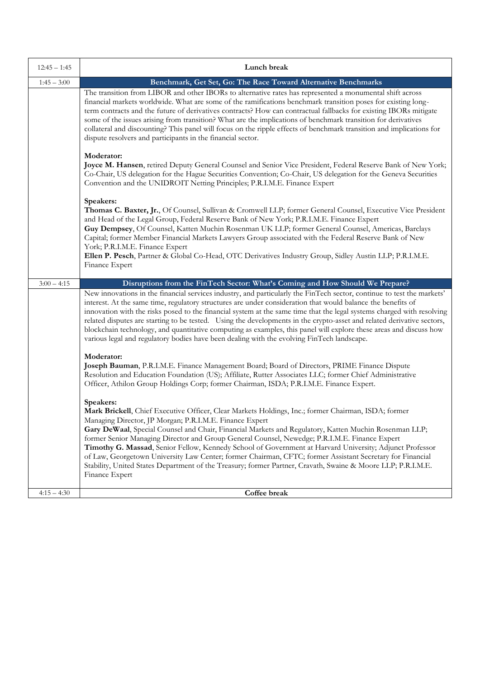| $12:45 - 1:45$ | Lunch break                                                                                                                                                                                                                                                                                                                                                                                                                                                                                                                                                                                                                                                                                                                                     |
|----------------|-------------------------------------------------------------------------------------------------------------------------------------------------------------------------------------------------------------------------------------------------------------------------------------------------------------------------------------------------------------------------------------------------------------------------------------------------------------------------------------------------------------------------------------------------------------------------------------------------------------------------------------------------------------------------------------------------------------------------------------------------|
| $1:45 - 3:00$  | Benchmark, Get Set, Go: The Race Toward Alternative Benchmarks                                                                                                                                                                                                                                                                                                                                                                                                                                                                                                                                                                                                                                                                                  |
|                | The transition from LIBOR and other IBORs to alternative rates has represented a monumental shift across<br>financial markets worldwide. What are some of the ramifications benchmark transition poses for existing long-<br>term contracts and the future of derivatives contracts? How can contractual fallbacks for existing IBORs mitigate<br>some of the issues arising from transition? What are the implications of benchmark transition for derivatives<br>collateral and discounting? This panel will focus on the ripple effects of benchmark transition and implications for<br>dispute resolvers and participants in the financial sector.                                                                                          |
|                | Moderator:<br>Joyce M. Hansen, retired Deputy General Counsel and Senior Vice President, Federal Reserve Bank of New York;<br>Co-Chair, US delegation for the Hague Securities Convention; Co-Chair, US delegation for the Geneva Securities<br>Convention and the UNIDROIT Netting Principles; P.R.I.M.E. Finance Expert                                                                                                                                                                                                                                                                                                                                                                                                                       |
|                | Speakers:<br>Thomas C. Baxter, Jr., Of Counsel, Sullivan & Cromwell LLP; former General Counsel, Executive Vice President<br>and Head of the Legal Group, Federal Reserve Bank of New York; P.R.I.M.E. Finance Expert<br>Guy Dempsey, Of Counsel, Katten Muchin Rosenman UK LLP; former General Counsel, Americas, Barclays<br>Capital; former Member Financial Markets Lawyers Group associated with the Federal Reserve Bank of New<br>York; P.R.I.M.E. Finance Expert<br>Ellen P. Pesch, Partner & Global Co-Head, OTC Derivatives Industry Group, Sidley Austin LLP; P.R.I.M.E.<br>Finance Expert                                                                                                                                           |
| $3:00 - 4:15$  | Disruptions from the FinTech Sector: What's Coming and How Should We Prepare?                                                                                                                                                                                                                                                                                                                                                                                                                                                                                                                                                                                                                                                                   |
|                | New innovations in the financial services industry, and particularly the FinTech sector, continue to test the markets'<br>interest. At the same time, regulatory structures are under consideration that would balance the benefits of<br>innovation with the risks posed to the financial system at the same time that the legal systems charged with resolving<br>related disputes are starting to be tested. Using the developments in the crypto-asset and related derivative sectors,<br>blockchain technology, and quantitative computing as examples, this panel will explore these areas and discuss how<br>various legal and regulatory bodies have been dealing with the evolving FinTech landscape.                                  |
|                | Moderator:<br>Joseph Bauman, P.R.I.M.E. Finance Management Board; Board of Directors, PRIME Finance Dispute<br>Resolution and Education Foundation (US); Affiliate, Rutter Associates LLC; former Chief Administrative<br>Officer, Athilon Group Holdings Corp; former Chairman, ISDA; P.R.I.M.E. Finance Expert.                                                                                                                                                                                                                                                                                                                                                                                                                               |
|                | Speakers:<br>Mark Brickell, Chief Executive Officer, Clear Markets Holdings, Inc.; former Chairman, ISDA; former<br>Managing Director, JP Morgan; P.R.I.M.E. Finance Expert<br>Gary DeWaal, Special Counsel and Chair, Financial Markets and Regulatory, Katten Muchin Rosenman LLP;<br>former Senior Managing Director and Group General Counsel, Newedge; P.R.I.M.E. Finance Expert<br>Timothy G. Massad, Senior Fellow, Kennedy School of Government at Harvard University; Adjunct Professor<br>of Law, Georgetown University Law Center; former Chairman, CFTC; former Assistant Secretary for Financial<br>Stability, United States Department of the Treasury; former Partner, Cravath, Swaine & Moore LLP; P.R.I.M.E.<br>Finance Expert |
| $4:15 - 4:30$  | Coffee break                                                                                                                                                                                                                                                                                                                                                                                                                                                                                                                                                                                                                                                                                                                                    |